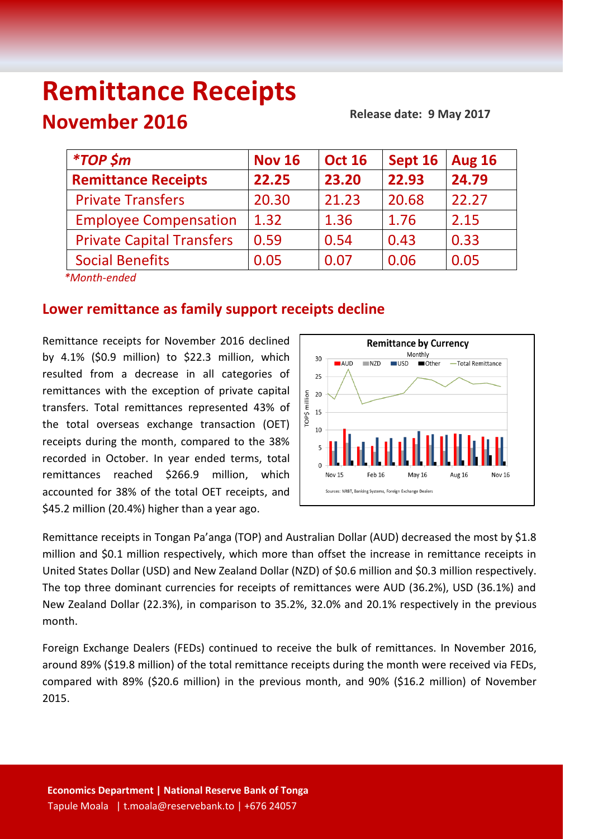# **Remittance Receipts November 2016**

 **Release date: 9 May 2017**

| <i><b>*TOP \$m</b></i>           | <b>Nov 16</b> | <b>Oct 16</b> | Sept 16 | <b>Aug 16</b> |
|----------------------------------|---------------|---------------|---------|---------------|
| <b>Remittance Receipts</b>       | 22.25         | 23.20         | 22.93   | 24.79         |
| <b>Private Transfers</b>         | 20.30         | 21.23         | 20.68   | 22.27         |
| <b>Employee Compensation</b>     | 1.32          | 1.36          | 1.76    | 2.15          |
| <b>Private Capital Transfers</b> | 0.59          | 0.54          | 0.43    | 0.33          |
| <b>Social Benefits</b>           | 0.05          | 0.07          | 0.06    | 0.05          |
| $*$ Month andod                  |               |               |         |               |

 *\*Month-ended*

## **Lower remittance as family support receipts decline**

Remittance receipts for November 2016 declined by 4.1% (\$0.9 million) to \$22.3 million, which resulted from a decrease in all categories of remittances with the exception of private capital transfers. Total remittances represented 43% of the total overseas exchange transaction (OET) receipts during the month, compared to the 38% recorded in October. In year ended terms, total remittances reached \$266.9 million, which accounted for 38% of the total OET receipts, and \$45.2 million (20.4%) higher than a year ago.



Remittance receipts in Tongan Pa'anga (TOP) and Australian Dollar (AUD) decreased the most by \$1.8 million and \$0.1 million respectively, which more than offset the increase in remittance receipts in United States Dollar (USD) and New Zealand Dollar (NZD) of \$0.6 million and \$0.3 million respectively. The top three dominant currencies for receipts of remittances were AUD (36.2%), USD (36.1%) and New Zealand Dollar (22.3%), in comparison to 35.2%, 32.0% and 20.1% respectively in the previous month.

Foreign Exchange Dealers (FEDs) continued to receive the bulk of remittances. In November 2016, around 89% (\$19.8 million) of the total remittance receipts during the month were received via FEDs, compared with 89% (\$20.6 million) in the previous month, and 90% (\$16.2 million) of November 2015.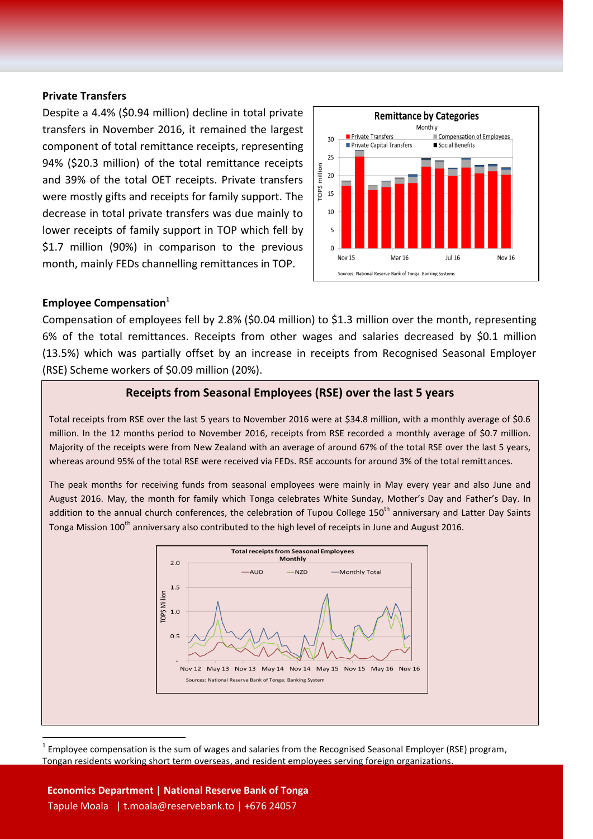#### **Private Transfers**

Despite a 4.4% (\$0.94 million) decline in total private transfers in November 2016, it remained the largest component of total remittance receipts, representing 94% (\$20.3 million) of the total remittance receipts and 39% of the total OET receipts. Private transfers were mostly gifts and receipts for family support. The decrease in total private transfers was due mainly to lower receipts of family support in TOP which fell by \$1.7 million (90%) in comparison to the previous month, mainly FEDs channelling remittances in TOP.



#### **Employee Compensation<sup>1</sup>**

Compensation of employees fell by 2.8% (\$0.04 million) to \$1.3 million over the month, representing 6% of the total remittances. Receipts from other wages and salaries decreased by \$0.1 million (13.5%) which was partially offset by an increase in receipts from Recognised Seasonal Employer (RSE) Scheme workers of \$0.09 million (20%).

#### **Receipts from Seasonal Employees (RSE) over the last 5 years**

Total receipts from RSE over the last 5 years to November 2016 were at \$34.8 million, with a monthly average of \$0.6 million. In the 12 months period to November 2016, receipts from RSE recorded a monthly average of \$0.7 million. Majority of the receipts were from New Zealand with an average of around 67% of the total RSE over the last 5 years, whereas around 95% of the total RSE were received via FEDs. RSE accounts for around 3% of the total remittances.

The peak months for receiving funds from seasonal employees were mainly in May every year and also June and August 2016. May, the month for family which Tonga celebrates White Sunday, Mother's Day and Father's Day. In addition to the annual church conferences, the celebration of Tupou College 150<sup>th</sup> anniversary and Latter Day Saints Tonga Mission 100<sup>th</sup> anniversary also contributed to the high level of receipts in June and August 2016.



<sup>1</sup> Employee compensation is the sum of wages and salaries from the Recognised Seasonal Employer (RSE) program, Tongan residents working short term overseas, and resident employees serving foreign organizations.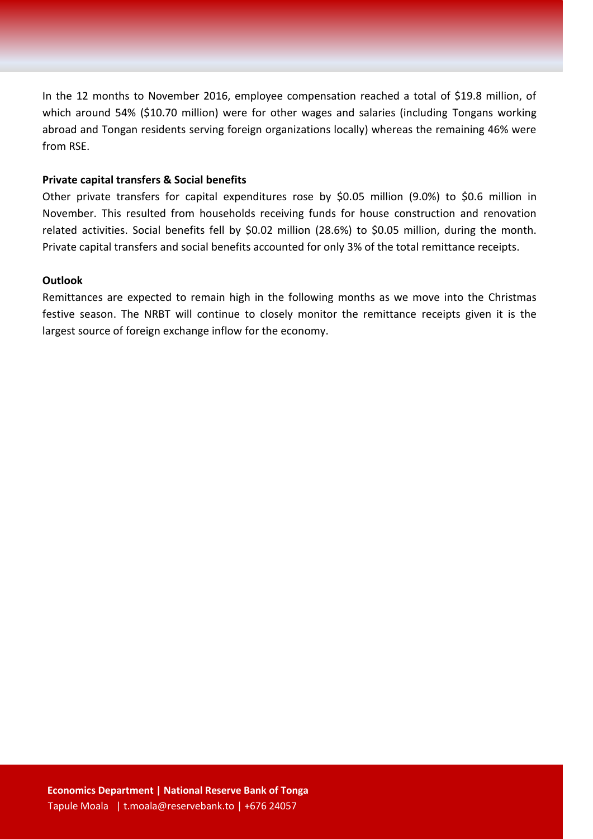In the 12 months to November 2016, employee compensation reached a total of \$19.8 million, of which around 54% (\$10.70 million) were for other wages and salaries (including Tongans working abroad and Tongan residents serving foreign organizations locally) whereas the remaining 46% were from RSE.

#### **Private capital transfers & Social benefits**

Other private transfers for capital expenditures rose by \$0.05 million (9.0%) to \$0.6 million in November. This resulted from households receiving funds for house construction and renovation related activities. Social benefits fell by \$0.02 million (28.6%) to \$0.05 million, during the month. Private capital transfers and social benefits accounted for only 3% of the total remittance receipts.

#### **Outlook**

Remittances are expected to remain high in the following months as we move into the Christmas festive season. The NRBT will continue to closely monitor the remittance receipts given it is the largest source of foreign exchange inflow for the economy.